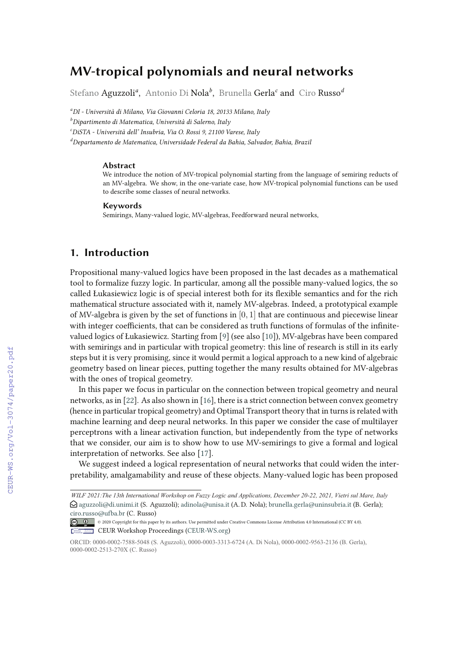# **MV-tropical polynomials and neural networks**

Stefano Aguzzoli*<sup>a</sup>* , Antonio Di Nola*<sup>b</sup>* , Brunella Gerla*<sup>c</sup>* and Ciro Russo*<sup>d</sup>*

*<sup>a</sup>DI - Università di Milano, Via Giovanni Celoria 18, 20133 Milano, Italy*

*<sup>b</sup>Dipartimento di Matematica, Università di Salerno, Italy*

*<sup>c</sup>DiSTA - Università dell' Insubria, Via O. Rossi 9, 21100 Varese, Italy*

*<sup>d</sup>Departamento de Matematica, Universidade Federal da Bahia, Salvador, Bahia, Brazil*

#### **Abstract**

We introduce the notion of MV-tropical polynomial starting from the language of semiring reducts of an MV-algebra. We show, in the one-variate case, how MV-tropical polynomial functions can be used to describe some classes of neural networks.

#### **Keywords**

Semirings, Many-valued logic, MV-algebras, Feedforward neural networks,

# **1. Introduction**

Propositional many-valued logics have been proposed in the last decades as a mathematical tool to formalize fuzzy logic. In particular, among all the possible many-valued logics, the so called Łukasiewicz logic is of special interest both for its flexible semantics and for the rich mathematical structure associated with it, namely MV-algebras. Indeed, a prototypical example of MV-algebra is given by the set of functions in  $[0, 1]$  that are continuous and piecewise linear with integer coefficients, that can be considered as truth functions of formulas of the infinitevalued logics of Łukasiewicz. Starting from [9] (see also [10]), MV-algebras have been compared with semirings and in particular with tropical geometry: this line of research is still in its early steps but it is very promising, since it would permit a logical approach to a new kind of algebraic geometry based on linear pieces, putting together the many results obtained for MV-algebras with the ones of tropical geometry.

In this paper we focus in particular on the connection between tropical geometry and neural networks, as in [22]. As also shown in [16], there is a strict connection between convex geometry (hence in particular tropical geometry) and Optimal Transport theory that in turns is related with machine learning and deep neural networks. In this paper we consider the case of multilayer perceptrons with a linear activation function, but independently from the type of networks that we consider, our aim is to show how to use MV-semirings to give a formal and logical interpretation of networks. See also [17].

We suggest indeed a logical representation of neural networks that could widen the interpretability, amalgamability and reuse of these objects. Many-valued logic has been proposed

*Wilf Vietri WILF 2021:The 13th International Workshop on Fuzzy Logic and Applications, December 20-22, 2021, Vietri sul Mare, Italy*  $\bigcirc$  aguzzoli@di.unimi.it (S. Aguzzoli); adinola@unisa.it (A. D. Nola); brunella.gerla@uninsubria.it (B. Gerla); ciro.russo@ufba.br (C. Russo)

<sup>©</sup> 2020 Copyright for this paper by its authors. Use permitted under Creative Commons License Attribution 4.0 International (CC BY 4.0). CEUR<br>Workshop<br>Proceedings **EDIA Workshop Proceedings (CEUR-WS.org)** 

ORCID: 0000-0002-7588-5048 (S. Aguzzoli), 0000-0003-3313-6724 (A. Di Nola), 0000-0002-9563-2136 (B. Gerla), 0000-0002-2513-270X (C. Russo)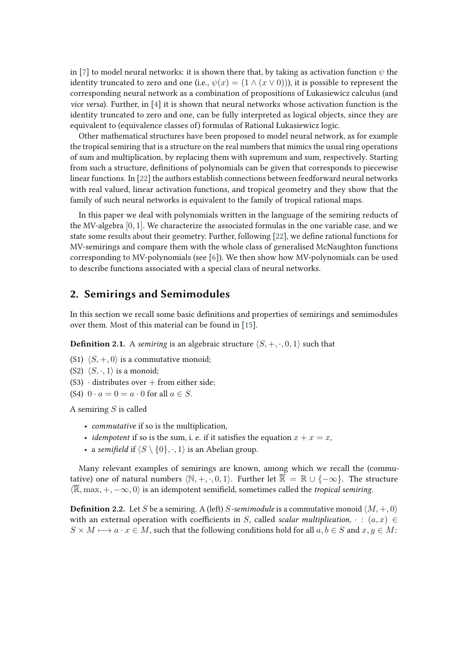in [7] to model neural networks: it is shown there that, by taking as activation function  $\psi$  the identity truncated to zero and one (i.e.,  $\psi(x) = (1 \wedge (x \vee 0))$ ), it is possible to represent the corresponding neural network as a combination of propositions of Łukasiewicz calculus (and *vice versa*). Further, in [4] it is shown that neural networks whose activation function is the identity truncated to zero and one, can be fully interpreted as logical objects, since they are equivalent to (equivalence classes of) formulas of Rational Łukasiewicz logic.

Other mathematical structures have been proposed to model neural network, as for example the tropical semiring that is a structure on the real numbers that mimics the usual ring operations of sum and multiplication, by replacing them with supremum and sum, respectively. Starting from such a structure, definitions of polynomials can be given that corresponds to piecewise linear functions. In [22] the authors establish connections between feedforward neural networks with real valued, linear activation functions, and tropical geometry and they show that the family of such neural networks is equivalent to the family of tropical rational maps.

In this paper we deal with polynomials written in the language of the semiring reducts of the MV-algebra [0, 1]. We characterize the associated formulas in the one variable case, and we state some results about their geometry. Further, following [22], we define rational functions for MV-semirings and compare them with the whole class of generalised McNaughton functions corresponding to MV-polynomials (see [6]). We then show how MV-polynomials can be used to describe functions associated with a special class of neural networks.

### **2. Semirings and Semimodules**

In this section we recall some basic definitions and properties of semirings and semimodules over them. Most of this material can be found in [15].

**Definition 2.1.** A *semiring* is an algebraic structure  $\langle S, +, \cdot, 0, 1 \rangle$  such that

- (S1)  $\langle S, +, 0 \rangle$  is a commutative monoid:
- (S2)  $\langle S, \cdot, 1 \rangle$  is a monoid;
- $(S3)$  · distributes over + from either side;
- (S4)  $0 \cdot a = 0 = a \cdot 0$  for all  $a \in S$ .

A semiring  $S$  is called

- *commutative* if so is the multiplication,
- *idempotent* if so is the sum, i. e. if it satisfies the equation  $x + x = x$ ,
- a *semifield* if  $\langle S \setminus \{0\}, \cdot, 1 \rangle$  is an Abelian group.

Many relevant examples of semirings are known, among which we recall the (commutative) one of natural numbers  $\langle \mathbb{N}, +, \cdot, 0, 1 \rangle$ . Further let  $\mathbb{R} = \mathbb{R} \cup \{-\infty\}$ . The structure  $\langle \overline{\mathbb{R}}, \max, +, -\infty, 0 \rangle$  is an idempotent semifield, sometimes called the *tropical semiring*.

**Definition 2.2.** Let S be a semiring. A (left) S-semimodule is a commutative monoid  $\langle M, +, 0 \rangle$ with an external operation with coefficients in S, called *scalar multiplication*,  $\cdot$  :  $(a, x) \in$  $S \times M \longmapsto a \cdot x \in M$ , such that the following conditions hold for all  $a, b \in S$  and  $x, y \in M$ :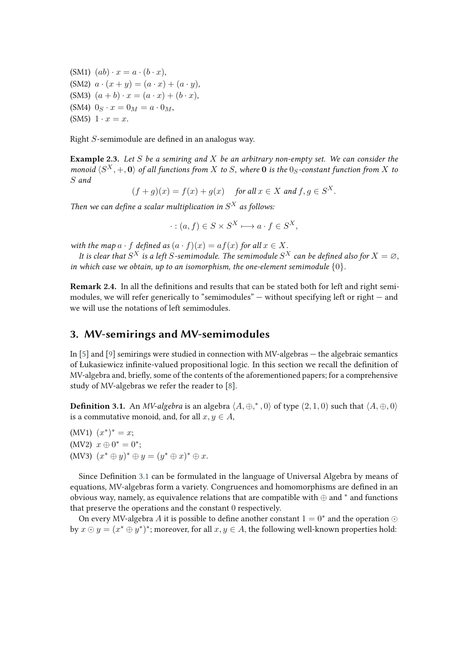(SM1)  $(ab) \cdot x = a \cdot (b \cdot x)$ , (SM2)  $a \cdot (x + y) = (a \cdot x) + (a \cdot y)$ , (SM3)  $(a + b) \cdot x = (a \cdot x) + (b \cdot x)$ , (SM4)  $0_S \cdot x = 0_M = a \cdot 0_M$ ,  $(SM5) 1 \cdot x = x.$ 

Right  $S$ -semimodule are defined in an analogus way.

**Example 2.3.** *Let* S *be a semiring and* X *be an arbitrary non-empty set. We can consider the monoid*  $\langle S^X, +, 0 \rangle$  *of all functions from* X *to* S, where **0** *is the* 0<sub>S</sub>-constant function from X *to* S *and*

$$
(f+g)(x) = f(x) + g(x)
$$
 for all  $x \in X$  and  $f, g \in S^X$ .

Then we can define a scalar multiplication in  $S^X$  as follows:

$$
\cdot : (a, f) \in S \times S^X \longmapsto a \cdot f \in S^X,
$$

*with the map*  $a \cdot f$  *defined as*  $(a \cdot f)(x) = af(x)$  *for all*  $x \in X$ *.* 

It is clear that  $S^X$  is a left  $S$ -semimodule. The semimodule  $S^X$  can be defined also for  $X=\varnothing,$ *in which case we obtain, up to an isomorphism, the one-element semimodule*  $\{0\}$ *.* 

**Remark 2.4.** In all the definitions and results that can be stated both for left and right semimodules, we will refer generically to "semimodules"  $-$  without specifying left or right  $-$  and we will use the notations of left semimodules.

# **3. MV-semirings and MV-semimodules**

In [5] and [9] semirings were studied in connection with MV-algebras — the algebraic semantics of Łukasiewicz infinite-valued propositional logic. In this section we recall the definition of MV-algebra and, briefly, some of the contents of the aforementioned papers; for a comprehensive study of MV-algebras we refer the reader to [8].

**Definition 3.1.** An *MV-algebra* is an algebra  $\langle A, \oplus,^*, 0 \rangle$  of type  $(2, 1, 0)$  such that  $\langle A, \oplus, 0 \rangle$ is a commutative monoid, and, for all  $x, y \in A$ ,

 $(MV1)$   $(x^*)^* = x;$ (MV2)  $x \oplus 0^* = 0^*$ ; (MV3)  $(x^* \oplus y)^* \oplus y = (y^* \oplus x)^* \oplus x$ .

Since Definition 3.1 can be formulated in the language of Universal Algebra by means of equations, MV-algebras form a variety. Congruences and homomorphisms are defined in an obvious way, namely, as equivalence relations that are compatible with  $\oplus$  and  $^*$  and functions that preserve the operations and the constant 0 respectively.

On every MV-algebra  $A$  it is possible to define another constant  $1 = 0^*$  and the operation  $\odot$ by  $x \odot y = (x^* \oplus y^*)^*$ ; moreover, for all  $x, y \in A$ , the following well-known properties hold: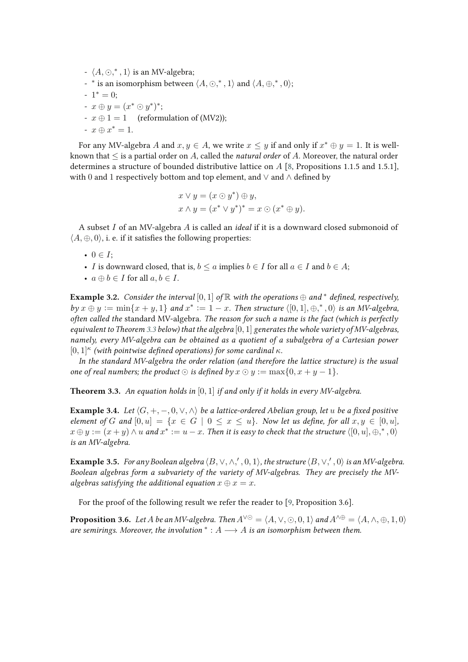- $\langle A, \odot, ^*, 1 \rangle$  is an MV-algebra;
- $*$  is an isomorphism between  $\langle A, \odot, ^*, 1 \rangle$  and  $\langle A, \oplus, ^*, 0 \rangle;$
- $-1^* = 0;$
- $x \oplus y = (x^* \odot y^*)^*;$
- $x \oplus 1 = 1$  (reformulation of (MV2));
- $x \oplus x^* = 1$ .

For any MV-algebra  $A$  and  $x, y \in A$ , we write  $x \leq y$  if and only if  $x^* \oplus y = 1$ . It is wellknown that ≤ is a partial order on A, called the *natural order* of A. Moreover, the natural order determines a structure of bounded distributive lattice on A [8, Propositions 1.1.5 and 1.5.1], with 0 and 1 respectively bottom and top element, and  $\vee$  and  $\wedge$  defined by

$$
x \lor y = (x \odot y^*) \oplus y,
$$
  
\n
$$
x \land y = (x^* \lor y^*)^* = x \odot (x^* \oplus y).
$$

A subset I of an MV-algebra A is called an *ideal* if it is a downward closed submonoid of  $\langle A, \oplus, 0 \rangle$ , i. e. if it satisfies the following properties:

- $0 \in I$ ;
- I is downward closed, that is,  $b \le a$  implies  $b \in I$  for all  $a \in I$  and  $b \in A$ ;
- $a \oplus b \in I$  for all  $a, b \in I$ .

**Example 3.2.** *Consider the interval* [0, 1] *of* R *with the operations*  $\oplus$  *and*<sup>\*</sup> *defined, respectively,*  $by x \oplus y := min\{x + y, 1\}$  and  $x^* := 1 - x$ . Then structure  $\langle [0, 1], \oplus, ^*, 0 \rangle$  is an MV-algebra, *often called the* standard MV-algebra*. The reason for such a name is the fact (which is perfectly equivalent to Theorem 3.3 below) that the algebra* [0, 1] *generates the whole variety of MV-algebras, namely, every MV-algebra can be obtained as a quotient of a subalgebra of a Cartesian power*  $[0,1]$ <sup> $\kappa$ </sup> (with pointwise defined operations) for some cardinal  $\kappa$ .

*In the standard MV-algebra the order relation (and therefore the lattice structure) is the usual one of real numbers; the product*  $\odot$  *is defined by*  $x \odot y := \max\{0, x + y - 1\}$ *.* 

**Theorem 3.3.** *An equation holds in* [0, 1] *if and only if it holds in every MV-algebra.*

**Example 3.4.** *Let*  $\langle G, +, -, 0, \vee, \wedge \rangle$  *be a lattice-ordered Abelian group, let u be a fixed positive element of* G and  $[0, u] = \{x \in G \mid 0 \le x \le u\}$ . Now let us define, for all  $x, y \in [0, u]$ ,  $x \oplus y := (x + y) \wedge u$  and  $x^* := u - x$ . Then it is easy to check that the structure  $\langle [0, u], \oplus, ^*, 0 \rangle$ *is an MV-algebra.*

**Example 3.5.** For any Boolean algebra  $\langle B, \vee, \wedge, ', 0, 1 \rangle$ , the structure  $\langle B, \vee, ', 0 \rangle$  is an MV-algebra. *Boolean algebras form a subvariety of the variety of MV-algebras. They are precisely the MValgebras satisfying the additional equation*  $x \oplus x = x$ .

For the proof of the following result we refer the reader to [9, Proposition 3.6].

**Proposition 3.6.** *Let* A *be an MV-algebra. Then*  $A^{\vee\odot} = \langle A, \vee, \odot, 0, 1 \rangle$  *and*  $A^{\wedge \oplus} = \langle A, \wedge, \oplus, 1, 0 \rangle$ *are semirings. Moreover, the involution*  $* : A \longrightarrow A$  *is an isomorphism between them.*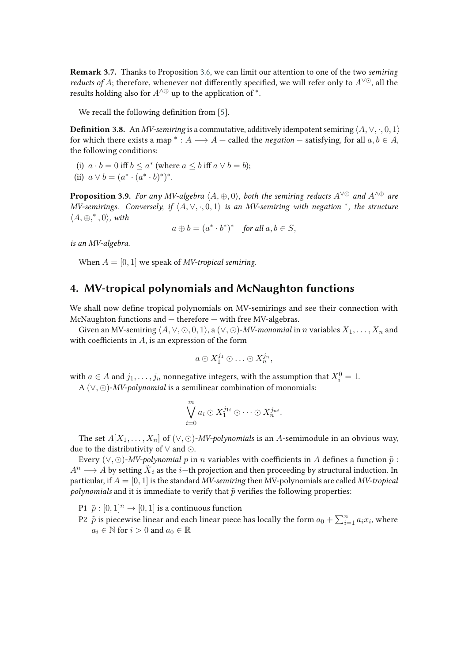**Remark 3.7.** Thanks to Proposition 3.6, we can limit our attention to one of the two *semiring reducts of* A; therefore, whenever not differently specified, we will refer only to  $A^{\vee\odot}$ , all the results holding also for  $A^{\wedge \oplus}$  up to the application of  $^*.$ 

We recall the following definition from [5].

**Definition 3.8.** An *MV-semiring* is a commutative, additively idempotent semiring  $\langle A, \vee, \cdot, 0, 1 \rangle$ for which there exists a map  $^* : A \longrightarrow A$  – called the *negation* – satisfying, for all  $a, b \in A$ , the following conditions:

(i)  $a \cdot b = 0$  iff  $b \le a^*$  (where  $a \le b$  iff  $a \vee b = b$ );

(ii)  $a \vee b = (a^* \cdot (a^* \cdot b)^*)^*$ .

**Proposition 3.9.** *For any MV-algebra*  $\langle A, \oplus, 0 \rangle$ *, both the semiring reducts*  $A^{\vee\odot}$  *and*  $A^{\wedge\oplus}$  *are MV-semirings. Conversely, if*  $\langle A, \vee, \cdot, 0, 1 \rangle$  *is an MV-semiring with negation* \*, the structure  $\langle A, \oplus, ^*, 0 \rangle$ , with

 $a \oplus b = (a^* \cdot b^*)^*$  *for all*  $a, b \in S$ ,

*is an MV-algebra.*

When  $A = [0, 1]$  we speak of *MV-tropical semiring*.

# **4. MV-tropical polynomials and McNaughton functions**

We shall now define tropical polynomials on MV-semirings and see their connection with McNaughton functions and — therefore — with free MV-algebras.

Given an MV-semiring  $\langle A, \vee, \odot, 0, 1 \rangle$ , a  $(\vee, \odot)$ -*MV-monomial* in *n* variables  $X_1, \ldots, X_n$  and with coefficients in  $A$ , is an expression of the form

$$
a\odot X_1^{j_1}\odot\ldots\odot X_n^{j_n},
$$

with  $a \in A$  and  $j_1, \ldots, j_n$  nonnegative integers, with the assumption that  $X_i^0 = 1$ .

A (∨, ⊙)-*MV-polynomial* is a semilinear combination of monomials:

$$
\bigvee_{i=0}^{m} a_{i} \odot X_{1}^{j_{1i}} \odot \cdots \odot X_{n}^{j_{ni}}.
$$

The set  $A[X_1, \ldots, X_n]$  of  $(\vee, \odot)$ -*MV-polynomials* is an A-semimodule in an obvious way, due to the distributivity of ∨ and ⊙.

Every  $(\vee, \odot)$ -*MV-polynomial* p in n variables with coefficients in A defines a function  $\tilde{p}$  :  $A^n\longrightarrow A$  by setting  ${\tilde X}_i$  as the  $i-$ th projection and then proceeding by structural induction. In particular, if A = [0, 1] is the standard *MV-semiring* then MV-polynomials are called *MV-tropical polynomials* and it is immediate to verify that  $\tilde{p}$  verifies the following properties:

- P1  $\tilde{p} : [0, 1]^n \rightarrow [0, 1]$  is a continuous function
- P2  $\,\tilde{p}$  is piecewise linear and each linear piece has locally the form  $a_0+\sum_{i=1}^n a_ix_i,$  where  $a_i \in \mathbb{N}$  for  $i > 0$  and  $a_0 \in \mathbb{R}$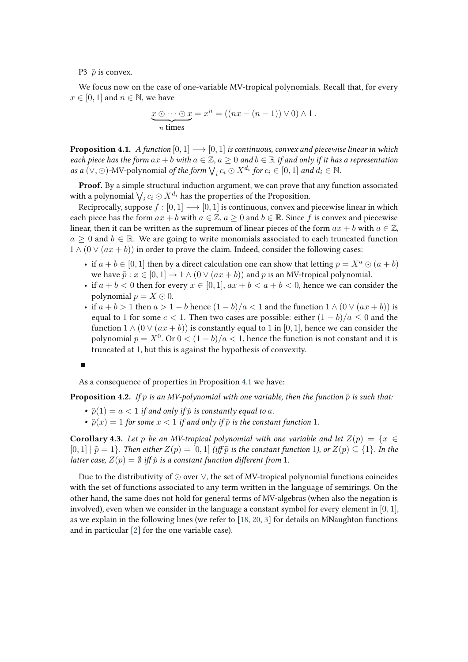P3  $\tilde{p}$  is convex.

We focus now on the case of one-variable MV-tropical polynomials. Recall that, for every  $x \in [0, 1]$  and  $n \in \mathbb{N}$ , we have

$$
\underbrace{x \odot \cdots \odot x}_{n \text{ times}} = x^n = ((nx - (n-1)) \vee 0) \wedge 1.
$$

**Proposition 4.1.** *A function*  $[0,1] \longrightarrow [0,1]$  *is continuous, convex and piecewise linear in which each piece has the form*  $ax + b$  *with*  $a \in \mathbb{Z}$ ,  $a \ge 0$  *and*  $b \in \mathbb{R}$  *if and only if it has a representation as a* (∨, ⊙)-MV-polynomial *of the form*  $\bigvee_i c_i \odot X^{d_i}$  *for*  $c_i \in [0,1]$  *and*  $d_i \in \mathbb{N}$ *.* 

**Proof.** By a simple structural induction argument, we can prove that any function associated with a polynomial  $\bigvee_i c_i \odot X^{d_i}$  has the properties of the Proposition.

Reciprocally, suppose  $f : [0, 1] \longrightarrow [0, 1]$  is continuous, convex and piecewise linear in which each piece has the form  $ax + b$  with  $a \in \mathbb{Z}$ ,  $a \ge 0$  and  $b \in \mathbb{R}$ . Since f is convex and piecewise linear, then it can be written as the supremum of linear pieces of the form  $ax + b$  with  $a \in \mathbb{Z}$ ,  $a \geq 0$  and  $b \in \mathbb{R}$ . We are going to write monomials associated to each truncated function  $1 \wedge (0 \vee (ax + b))$  in order to prove the claim. Indeed, consider the following cases:

- if  $a + b \in [0, 1]$  then by a direct calculation one can show that letting  $p = X^a \odot (a + b)$ we have  $\tilde{p}$  :  $x \in [0, 1] \to 1 \wedge (0 \vee (ax + b))$  and p is an MV-tropical polynomial.
- if  $a + b < 0$  then for every  $x \in [0, 1]$ ,  $ax + b < a + b < 0$ , hence we can consider the polynomial  $p = X \odot 0$ .
- if  $a + b > 1$  then  $a > 1 b$  hence  $(1 b)/a < 1$  and the function  $1 \wedge (0 \vee (ax + b))$  is equal to 1 for some  $c < 1$ . Then two cases are possible: either  $(1 - b)/a \leq 0$  and the function  $1 \wedge (0 \vee (ax + b))$  is constantly equal to 1 in [0, 1], hence we can consider the polynomial  $p = X^0$ . Or  $0 < (1 - b)/a < 1$ , hence the function is not constant and it is truncated at 1, but this is against the hypothesis of convexity.

As a consequence of properties in Proposition 4.1 we have:

**Proposition 4.2.** *If* p *is an MV-polynomial with one variable, then the function*  $\tilde{p}$  *is such that:* 

- $\tilde{p}(1) = a < 1$  *if and only if*  $\tilde{p}$  *is constantly equal to a.*
- $\tilde{p}(x) = 1$  *for some*  $x < 1$  *if and only if*  $\tilde{p}$  *is the constant function* 1*.*

**Corollary 4.3.** *Let* p *be an MV-tropical polynomial with one variable and let*  $Z(p) = \{x \in$  $[0, 1] \mid \tilde{p} = 1$ *). Then either*  $Z(p) = [0, 1]$  *(iff*  $\tilde{p}$  *is the constant function* 1*), or*  $Z(p) \subseteq \{1\}$ *. In the latter case,*  $Z(p) = \emptyset$  *iff*  $\tilde{p}$  *is a constant function different from* 1*.* 

Due to the distributivity of ⊙ over ∨, the set of MV-tropical polynomial functions coincides with the set of functions associated to any term written in the language of semirings. On the other hand, the same does not hold for general terms of MV-algebras (when also the negation is involved), even when we consider in the language a constant symbol for every element in  $[0, 1]$ , as we explain in the following lines (we refer to [18, 20, 3] for details on MNaughton functions and in particular [2] for the one variable case).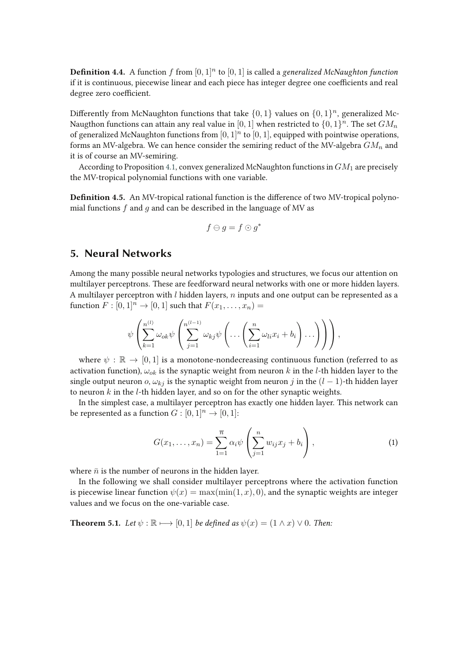**Definition 4.4.** A function  $f$  from  $[0, 1]^n$  to  $[0, 1]$  is called a *generalized McNaughton function* if it is continuous, piecewise linear and each piece has integer degree one coefficients and real degree zero coefficient.

Differently from McNaughton functions that take  $\{0,1\}$  values on  $\{0,1\}^n$ , generalized Mc-Naugthon functions can attain any real value in  $[0,1]$  when restricted to  $\{0,1\}^n$ . The set  $GM_n$ of generalized McNaughton functions from  $[0, 1]^n$  to  $[0, 1]$ , equipped with pointwise operations, forms an MV-algebra. We can hence consider the semiring reduct of the MV-algebra  $GM_n$  and it is of course an MV-semiring.

According to Proposition 4.1, convex generalized McNaughton functions in  $GM<sub>1</sub>$  are precisely the MV-tropical polynomial functions with one variable.

**Definition 4.5.** An MV-tropical rational function is the difference of two MV-tropical polynomial functions  $f$  and  $g$  and can be described in the language of MV as

$$
f \ominus g = f \odot g^*
$$

### **5. Neural Networks**

Among the many possible neural networks typologies and structures, we focus our attention on multilayer perceptrons. These are feedforward neural networks with one or more hidden layers. A multilayer perceptron with  $l$  hidden layers,  $n$  inputs and one output can be represented as a function  $F : [0, 1]^n \rightarrow [0, 1]$  such that  $F(x_1, \ldots, x_n) =$ 

$$
\psi\left(\sum_{k=1}^{n^{(l)}}\omega_{ok}\psi\left(\sum_{j=1}^{n^{(l-1)}}\omega_{kj}\psi\left(\ldots\left(\sum_{i=1}^n\omega_{li}x_i+b_i\right)\ldots\right)\right)\right),\right)
$$

where  $\psi : \mathbb{R} \to [0,1]$  is a monotone-nondecreasing continuous function (referred to as activation function),  $\omega_{ok}$  is the synaptic weight from neuron k in the l-th hidden layer to the single output neuron o,  $\omega_{kj}$  is the synaptic weight from neuron j in the  $(l - 1)$ -th hidden layer to neuron  $k$  in the  $l$ -th hidden layer, and so on for the other synaptic weights.

In the simplest case, a multilayer perceptron has exactly one hidden layer. This network can be represented as a function  $G:[0,1]^n\rightarrow [0,1]$ :

$$
G(x_1,...,x_n) = \sum_{1=1}^{\overline{n}} \alpha_i \psi \left( \sum_{j=1}^n w_{ij} x_j + b_i \right), \qquad (1)
$$

where  $\bar{n}$  is the number of neurons in the hidden layer.

In the following we shall consider multilayer perceptrons where the activation function is piecewise linear function  $\psi(x) = \max(\min(1, x), 0)$ , and the synaptic weights are integer values and we focus on the one-variable case.

**Theorem 5.1.** *Let*  $\psi$  :  $\mathbb{R} \longrightarrow [0, 1]$  *be defined as*  $\psi(x) = (1 \land x) \lor 0$ *. Then:*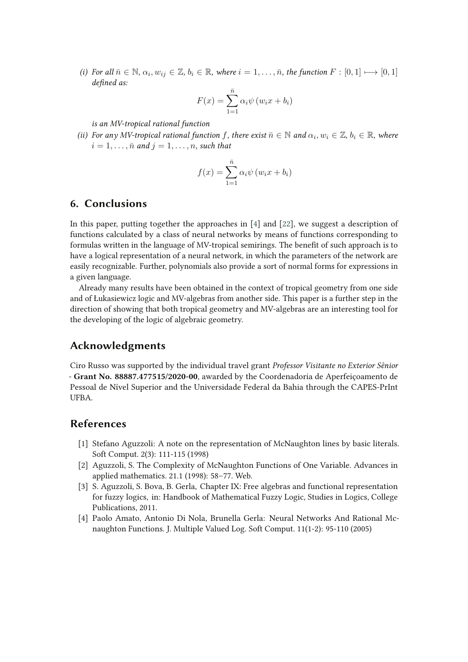*(i)* For all  $\bar{n} \in \mathbb{N}$ ,  $\alpha_i, w_{ij} \in \mathbb{Z}$ ,  $b_i \in \mathbb{R}$ , where  $i = 1, \ldots, \bar{n}$ , the function  $F : [0, 1] \mapsto [0, 1]$ defined as:

$$
F(x) = \sum_{1=1}^{\bar{n}} \alpha_i \psi(w_i x + b_i)
$$

*is an MV-tropical rational function*

*(ii)* For any MV-tropical rational function f, there exist  $\bar{n} \in \mathbb{N}$  and  $\alpha_i, w_i \in \mathbb{Z}$ ,  $b_i \in \mathbb{R}$ , where  $i = 1, \ldots, \bar{n}$  and  $j = 1, \ldots, n$ , such that

$$
f(x) = \sum_{1=1}^{\bar{n}} \alpha_i \psi (w_i x + b_i)
$$

# **6. Conclusions**

In this paper, putting together the approaches in [4] and [22], we suggest a description of functions calculated by a class of neural networks by means of functions corresponding to formulas written in the language of MV-tropical semirings. The benefit of such approach is to have a logical representation of a neural network, in which the parameters of the network are easily recognizable. Further, polynomials also provide a sort of normal forms for expressions in a given language.

Already many results have been obtained in the context of tropical geometry from one side and of Łukasiewicz logic and MV-algebras from another side. This paper is a further step in the direction of showing that both tropical geometry and MV-algebras are an interesting tool for the developing of the logic of algebraic geometry.

#### **Acknowledgments**

Ciro Russo was supported by the individual travel grant *Professor Visitante no Exterior Sênior* - **Grant No. 88887.477515/2020-00**, awarded by the Coordenadoria de Aperfeiçoamento de Pessoal de Nível Superior and the Universidade Federal da Bahia through the CAPES-PrInt UFBA.

#### **References**

- [1] Stefano Aguzzoli: A note on the representation of McNaughton lines by basic literals. Soft Comput. 2(3): 111-115 (1998)
- [2] Aguzzoli, S. The Complexity of McNaughton Functions of One Variable. Advances in applied mathematics. 21.1 (1998): 58–77. Web.
- [3] S. Aguzzoli, S. Bova, B. Gerla, Chapter IX: Free algebras and functional representation for fuzzy logics, in: Handbook of Mathematical Fuzzy Logic, Studies in Logics, College Publications, 2011.
- [4] Paolo Amato, Antonio Di Nola, Brunella Gerla: Neural Networks And Rational Mcnaughton Functions. J. Multiple Valued Log. Soft Comput. 11(1-2): 95-110 (2005)